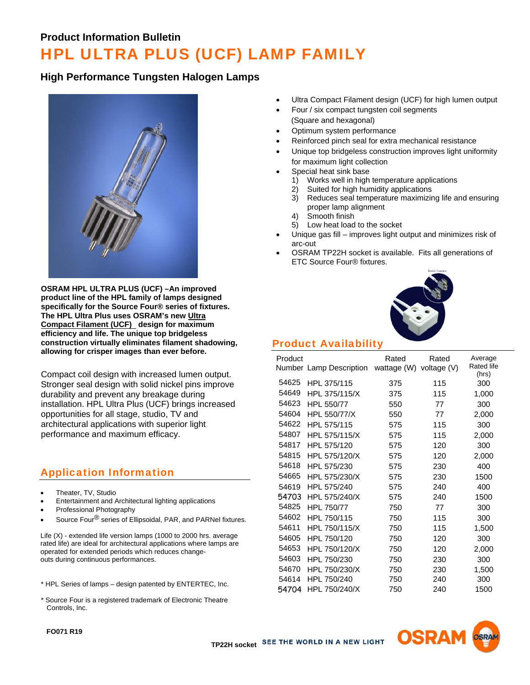#### **Product Information Bulletin**

# HPL ULTRA PLUS (UCF) LAMP FAMILY

#### **High Performance Tungsten Halogen Lamps**



**OSRAM HPL ULTRA PLUS (UCF) –An improved product line of the HPL family of lamps designed specifically for the Source Four® series of fixtures. The HPL Ultra Plus uses OSRAM's new Ultra Compact Filament (UCF) design for maximum efficiency and life. The unique top bridgeless construction virtually eliminates filament shadowing, allowing for crisper images than ever before.**

Compact coil design with increased lumen output. Stronger seal design with solid nickel pins improve durability and prevent any breakage during installation. HPL Ultra Plus (UCF) brings increased opportunities for all stage, studio, TV and architectural applications with superior light performance and maximum efficacy.

### Application Information

- Theater, TV, Studio
- Entertainment and Architectural lighting applications
- Professional Photography
- Source Four<sup>®</sup> series of Ellipsoidal, PAR, and PARNel fixtures.

Life (X) - extended life version lamps (1000 to 2000 hrs. average rated life) are ideal for architectural applications where lamps are operated for extended periods which reduces changeouts during continuous performances.

- \* HPL Series of lamps design patented by ENTERTEC, Inc.
- \* Source Four is a registered trademark of Electronic Theatre Controls, Inc.
- Ultra Compact Filament design (UCF) for high lumen output
- Four / six compact tungsten coil segments (Square and hexagonal)
- Optimum system performance
- Reinforced pinch seal for extra mechanical resistance
- Unique top bridgeless construction improves light uniformity for maximum light collection
- Special heat sink base
	- 1) Works well in high temperature applications
	- 2) Suited for high humidity applications
	- 3) Reduces seal temperature maximizing life and ensuring proper lamp alignment
	- 4) Smooth finish
	- 5) Low heat load to the socket
- Unique gas fill improves light output and minimizes risk of arc-out
- OSRAM TP22H socket is available. Fits all generations of ETC Source Four® fixtures.



## Product Availability

| Product | Number Lamp Description | Rated<br>wattage (W) | Rated<br>voltage (V) | Average<br>Rated life<br>(hrs) |
|---------|-------------------------|----------------------|----------------------|--------------------------------|
| 54625   | HPL 375/115             | 375                  | 115                  | 300                            |
| 54649   | HPL 375/115/X           | 375                  | 115                  | 1,000                          |
| 54623   | HPL 550/77              | 550                  | 77                   | 300                            |
| 54604   | HPL 550/77/X            | 550                  | 77                   | 2,000                          |
| 54622   | HPL 575/115             | 575                  | 115                  | 300                            |
| 54807   | HPL 575/115/X           | 575                  | 115                  | 2,000                          |
| 54817   | HPL 575/120             | 575                  | 120                  | 300                            |
| 54815   | HPL 575/120/X           | 575                  | 120                  | 2,000                          |
| 54618   | HPL 575/230             | 575                  | 230                  | 400                            |
| 54665   | HPL 575/230/X           | 575                  | 230                  | 1500                           |
| 54619   | HPL 575/240             | 575                  | 240                  | 400                            |
| 54703   | HPL 575/240/X           | 575                  | 240                  | 1500                           |
| 54825   | HPL 750/77              | 750                  | 77                   | 300                            |
| 54602   | HPL 750/115             | 750                  | 115                  | 300                            |
| 54611   | HPL 750/115/X           | 750                  | 115                  | 1,500                          |
| 54605   | HPL 750/120             | 750                  | 120                  | 300                            |
| 54653   | HPL 750/120/X           | 750                  | 120                  | 2,000                          |
| 54603   | HPL 750/230             | 750                  | 230                  | 300                            |
| 54670   | HPL 750/230/X           | 750                  | 230                  | 1,500                          |
| 54614   | HPL 750/240             | 750                  | 240                  | 300                            |
| 54704   | HPL 750/240/X           | 750                  | 240                  | 1500                           |